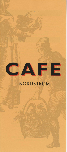

## NORDSTROM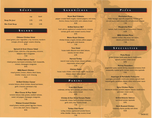|                      | SOUPS |      |      |  |
|----------------------|-------|------|------|--|
|                      |       |      |      |  |
|                      |       | cup  | bowl |  |
| <b>Soup Du Jour</b>  |       | 2.95 | 3.95 |  |
| <b>She Crab Soup</b> |       | 3.95 | 5.95 |  |
|                      |       |      |      |  |

#### **SALADS**

**Chinese Chicken Salad**  mixed greens, asian vegetables, crisp wontons, mandarin oranges, almonds, ginger sesame dressing 8.25

**Spinach & Goat Cheese Salad**  spinach, frisée, radicchio, crisp pancetta, croutons, balsamic dijon vinaigrette 7.50

**Grilled Salmon Salad**  mixed greens, marinated artichokes, fresh mozzarella, tomato, champagne vinaigrette 8.95

**BBQ Ranch Chicken**  mixed greens, tomato, cilantro, black beans, cheddar cheese, ranch dressing 8.25

**Grilled Chicken Caesar**  romaine lettuce, sliced chicken, shaved parmesan, garlic croutons, parmesan crisp 7.95

**Blue Cheese & Pear Salad**  romaine lettuce, baby greens, candied walnuts, sweet red pepper, champagne vinaigrette 7.95

**Walnut Crusted Chicken**  mixed greens, tomato, grated egg, blue cheese, carrot slaw, dark cherry vinaigrette

8.95

#### **SANDWICHES**

**Roast Beef Ciabatta** 

pepper crusted beef, arugula, roasted peppers, red onion, fontina cheese, horseradish aïoli, ciabatta bread 8.50

**Grilled Salmon BLT**  fresh salmon, applewood smoked bacon, romaine, tomato, garlic aïoli, toasted country bread 8.95

**Bistro Roast Chicken**  chicken breast, arugula, tomato, yellow pepper, basil, garlic aïoli, focaccia 7.50

**Tuna Salad**  house made albacore tuna salad, lettuce, tomato, harvest wheat 6.95

**Harvest Turkey**  natural roast turkey breast, lettuce, tomato, mayonnaise, wheat bread 6.50

**Chicken Salad**  house made chicken salad, honey, apples, lemon zest, lettuce, whole wheat bread 7.50

#### **PANINI**

**Crab Melt Panini**  crabmeat, old bay spice, tomato, provolone cheese, crisp country bread 8.95

**Chicken & Sun Dried Tomato Panini**  mozzarella cheese, basil, sun-dried tomatoes, garlic aïoli, crisp country bread 7.50

**Turkey Club Panini**  turkey, tomato, applewood smoked bacon, white cheddar cheese, crisp country bread 7.95

#### P **I Z"Z A**

**Manhattan Pizza**  italian sausage, capicolla, pepperoni, roasted garlic tomato sauce, basil, mozzarella and provolone cheeses 7.95

**Margherita Pizza**  tomato, basil, mozzarella and provolone cheeses 6.50

> **BBQ Chicken Pizza**  roasted chicken, **bbq** sauce, red onion, cilantro, provolone cheese 7.50

#### **SPECIALTIES**

**Pasta Rossa**  grilled chicken, fusilli pasta, bacon, mushrooms, spinach, tomato cream sauce 8.95

**Shrimp Pomodoro**  spaghettini pasta, seared shrimp, seasonal tomatoes, fresh mozzarella, roasted garlic tomato sauce, olive tapenade 9.95

**Asparagus & Portobello Fettuccine**  asparagus, portobello mushroom, tomato, spinach, basil, roasted garlic, parmesan cheese, white wine butter sauce

7.95

**Spicy Chicken Penne**  blackened chicken, sautéed peppers, onions, mushrooms, parmesan cream sauce 8.50

> **Grilled Atlantic Salmon**  sun-dried tomato tapenade 8.95

**Herb Roasted Chicken**  rosemary, thyme, parsley and chives 8.50

**04/04 EC**